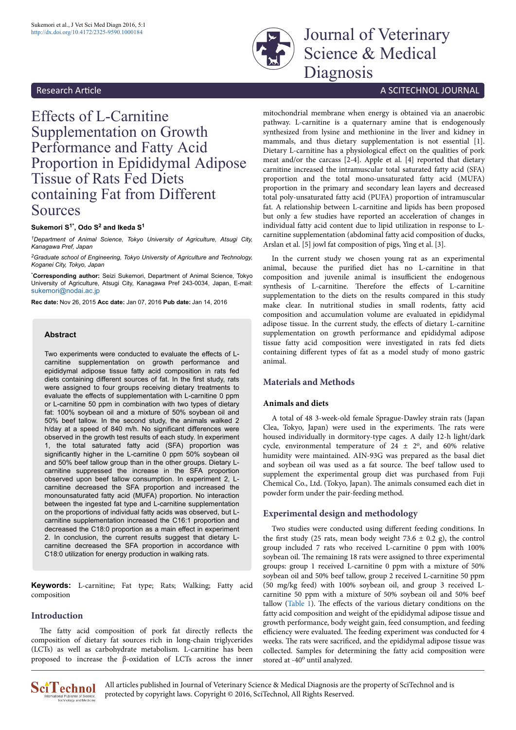

Journal of Veterinary Science & Medical Diagnosis

# Effects of L-Carnitine Supplementation on Growth Performance and Fatty Acid Proportion in Epididymal Adipose Tissue of Rats Fed Diets containing Fat from Different Sources

#### **Sukemori S1\*, Odo S<sup>2</sup> and Ikeda S<sup>1</sup>**

*<sup>1</sup>Department of Animal Science, Tokyo University of Agriculture, Atsugi City, Kanagawa Pref, Japan*

*<sup>2</sup>Graduate school of Engineering, Tokyo University of Agriculture and Technology, Koganei City, Tokyo, Japan*

\***Corresponding author:** Seizi Sukemori, Department of Animal Science, Tokyo University of Agriculture, Atsugi City, Kanagawa Pref 243-0034, Japan, E-mail: [sukemori@nodai.ac.jp](mailto:sukemori@nodai.ac.jp)

**Rec date:** Nov 26, 2015 **Acc date:** Jan 07, 2016 **Pub date:** Jan 14, 2016

#### **Abstract**

Two experiments were conducted to evaluate the effects of Lcarnitine supplementation on growth performance and epididymal adipose tissue fatty acid composition in rats fed diets containing different sources of fat. In the first study, rats were assigned to four groups receiving dietary treatments to evaluate the effects of supplementation with L-carnitine 0 ppm or L-carnitine 50 ppm in combination with two types of dietary fat: 100% soybean oil and a mixture of 50% soybean oil and 50% beef tallow. In the second study, the animals walked 2 h/day at a speed of 840 m/h. No significant differences were observed in the growth test results of each study. In experiment 1, the total saturated fatty acid (SFA) proportion was significantly higher in the L-carnitine 0 ppm 50% soybean oil and 50% beef tallow group than in the other groups. Dietary Lcarnitine suppressed the increase in the SFA proportion observed upon beef tallow consumption. In experiment 2, Lcarnitine decreased the SFA proportion and increased the monounsaturated fatty acid (MUFA) proportion. No interaction between the ingested fat type and L-carnitine supplementation on the proportions of individual fatty acids was observed, but Lcarnitine supplementation increased the C16:1 proportion and decreased the C18:0 proportion as a main effect in experiment 2. In conclusion, the current results suggest that dietary Lcarnitine decreased the SFA proportion in accordance with C18:0 utilization for energy production in walking rats.

**Keywords:** L-carnitine; Fat type; Rats; Walking; Fatty acid composition

#### **Introduction**

The fatty acid composition of pork fat directly reflects the composition of dietary fat sources rich in long-chain triglycerides (LCTs) as well as carbohydrate metabolism. L-carnitine has been proposed to increase the β-oxidation of LCTs across the inner

# Research Article **A SCITECHNOL JOURNAL Research Article** A SCITECHNOL JOURNAL

mitochondrial membrane when energy is obtained via an anaerobic pathway. L-carnitine is a quaternary amine that is endogenously synthesized from lysine and methionine in the liver and kidney in mammals, and thus dietary supplementation is not essential [1]. Dietary L-carnitine has a physiological effect on the qualities of pork meat and/or the carcass [2-4]. Apple et al. [4] reported that dietary carnitine increased the intramuscular total saturated fatty acid (SFA) proportion and the total mono-unsaturated fatty acid (MUFA) proportion in the primary and secondary lean layers and decreased total poly-unsaturated fatty acid (PUFA) proportion of intramuscular fat. A relationship between L-carnitine and lipids has been proposed but only a few studies have reported an acceleration of changes in individual fatty acid content due to lipid utilization in response to Lcarnitine supplementation (abdominal fatty acid composition of ducks, Arslan et al. [5] jowl fat composition of pigs, Ying et al. [3].

In the current study we chosen young rat as an experimental animal, because the purified diet has no L-carnitine in that composition and juvenile animal is insufficient the endogenous synthesis of L-carnitine. Therefore the effects of L-carnitine supplementation to the diets on the results compared in this study make clear. In nutritional studies in small rodents, fatty acid composition and accumulation volume are evaluated in epididymal adipose tissue. In the current study, the effects of dietary L-carnitine supplementation on growth performance and epididymal adipose tissue fatty acid composition were investigated in rats fed diets containing different types of fat as a model study of mono gastric animal.

#### **Materials and Methods**

#### **Animals and diets**

A total of 48 3-week-old female Sprague-Dawley strain rats (Japan Clea, Tokyo, Japan) were used in the experiments. Нe rats were housed individually in dormitory-type cages. A daily 12-h light/dark cycle, environmental temperature of  $24 \pm 2^{\circ}$ , and 60% relative humidity were maintained. AIN-93G was prepared as the basal diet and soybean oil was used as a fat source. Нe beef tallow used to supplement the experimental group diet was purchased from Fuji Chemical Co., Ltd. (Tokyo, Japan). Нe animals consumed each diet in powder form under the pair-feeding method.

### **Experimental design and methodology**

Two studies were conducted using different feeding conditions. In the first study (25 rats, mean body weight 73.6  $\pm$  0.2 g), the control group included 7 rats who received L-carnitine 0 ppm with 100% soybean oil. Нe remaining 18 rats were assigned to three experimental groups: group 1 received L-carnitine 0 ppm with a mixture of 50% soybean oil and 50% beef tallow, group 2 received L-carnitine 50 ppm (50 mg/kg feed) with 100% soybean oil, and group 3 received Lcarnitine 50 ppm with a mixture of 50% soybean oil and 50% beef tallow [\(Table 1\)](#page-1-0). The effects of the various dietary conditions on the fatty acid composition and weight of the epididymal adipose tissue and growth performance, body weight gain, feed consumption, and feeding efficiency were evaluated. The feeding experiment was conducted for 4 weeks. The rats were sacrificed, and the epididymal adipose tissue was collected. Samples for determining the fatty acid composition were stored at -40° until analyzed.



All articles published in Journal of Veterinary Science & Medical Diagnosis are the property of SciTechnol and is protected by copyright laws. Copyright © 2016, SciTechnol, All Rights Reserved.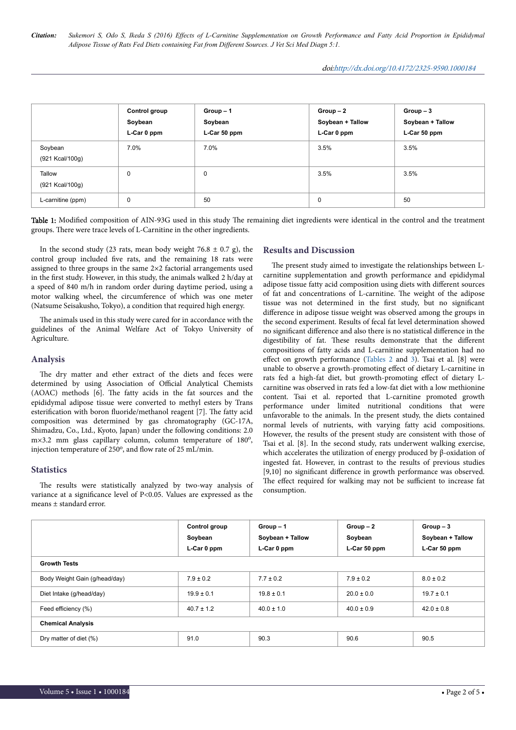<span id="page-1-0"></span>*Citation: Sukemori S, Odo S, Ikeda S (2016) Effects of L-Carnitine Supplementation on Growth Performance and Fatty Acid Proportion in Epididymal Adipose Tissue of Rats Fed Diets containing Fat from Different Sources. J Vet Sci Med Diagn 5:1.*

|                            | Control group<br>Soybean<br>L-Car 0 ppm | $Group-1$<br>Soybean<br>L-Car 50 ppm | $Group-2$<br>Soybean + Tallow<br>L-Car 0 ppm | $Group-3$<br>Soybean + Tallow<br>L-Car 50 ppm |
|----------------------------|-----------------------------------------|--------------------------------------|----------------------------------------------|-----------------------------------------------|
| Soybean<br>(921 Kcal/100g) | 7.0%                                    | 7.0%                                 | 3.5%                                         | 3.5%                                          |
| Tallow<br>(921 Kcal/100g)  | 0                                       | 0                                    | 3.5%                                         | 3.5%                                          |
| L-carnitine (ppm)          | 0                                       | 50                                   | 0                                            | 50                                            |

Table 1: Modified composition of AIN-93G used in this study The remaining diet ingredients were identical in the control and the treatment groups. Нere were trace levels of L-Carnitine in the other ingredients.

In the second study (23 rats, mean body weight  $76.8 \pm 0.7$  g), the control group included five rats, and the remaining 18 rats were assigned to three groups in the same 2×2 factorial arrangements used in the first study. However, in this study, the animals walked 2 h/day at a speed of 840 m/h in random order during daytime period, using a motor walking wheel, the circumference of which was one meter (Natsume Seisakusho, Tokyo), a condition that required high energy.

The animals used in this study were cared for in accordance with the guidelines of the Animal Welfare Act of Tokyo University of Agriculture.

# **Analysis**

The dry matter and ether extract of the diets and feces were determined by using Association of Official Analytical Chemists (AOAC) methods [6]. Нe fatty acids in the fat sources and the epididymal adipose tissue were converted to methyl esters by Trans esterification with boron fluoride/methanol reagent [7]. The fatty acid composition was determined by gas chromatography (GC-17A, Shimadzu, Co., Ltd., Kyoto, Japan) under the following conditions: 2.0 m×3.2 mm glass capillary column, column temperature of 180°, injection temperature of 250°, and flow rate of 25 mL/min.

# **Statistics**

The results were statistically analyzed by two-way analysis of variance at a significance level of P<0.05. Values are expressed as the means ± standard error.

# **Results and Discussion**

The present study aimed to investigate the relationships between Lcarnitine supplementation and growth performance and epididymal adipose tissue fatty acid composition using diets with different sources of fat and concentrations of L-carnitine. Нe weight of the adipose tissue was not determined in the first study, but no significant difference in adipose tissue weight was observed among the groups in the second experiment. Results of fecal fat level determination showed no significant difference and also there is no statistical difference in the digestibility of fat. These results demonstrate that the different compositions of fatty acids and L-carnitine supplementation had no effect on growth performance [\(Tables 2](#page-2-0) and [3\)](#page-2-0). Tsai et al.  $[8]$  were unable to observe a growth-promoting effect of dietary L-carnitine in rats fed a high-fat diet, but growth-promoting effect of dietary Lcarnitine was observed in rats fed a low-fat diet with a low methionine content. Tsai et al. reported that L-carnitine promoted growth performance under limited nutritional conditions that were unfavorable to the animals. In the present study, the diets contained normal levels of nutrients, with varying fatty acid compositions. However, the results of the present study are consistent with those of Tsai et al. [8]. In the second study, rats underwent walking exercise, which accelerates the utilization of energy produced by β-oxidation of ingested fat. However, in contrast to the results of previous studies [9,10] no significant difference in growth performance was observed. The effect required for walking may not be sufficient to increase fat consumption.

|                               | Control group<br>Soybean<br>L-Car 0 ppm | $Group-1$<br>Soybean + Tallow<br>L-Car 0 ppm | $Group-2$<br>Soybean<br>L-Car 50 ppm | $Group-3$<br>Soybean + Tallow<br>L-Car 50 ppm |
|-------------------------------|-----------------------------------------|----------------------------------------------|--------------------------------------|-----------------------------------------------|
| <b>Growth Tests</b>           |                                         |                                              |                                      |                                               |
| Body Weight Gain (g/head/day) | $7.9 \pm 0.2$                           | $7.7 \pm 0.2$                                | $7.9 \pm 0.2$                        | $8.0 \pm 0.2$                                 |
| Diet Intake (g/head/day)      | $19.9 \pm 0.1$                          | $19.8 \pm 0.1$                               | $20.0 \pm 0.0$                       | $19.7 \pm 0.1$                                |
| Feed efficiency (%)           | $40.7 \pm 1.2$                          | $40.0 \pm 1.0$                               | $40.0 \pm 0.9$                       | $42.0 \pm 0.8$                                |
| <b>Chemical Analysis</b>      |                                         |                                              |                                      |                                               |
| Dry matter of diet (%)        | 91.0                                    | 90.3                                         | 90.6                                 | 90.5                                          |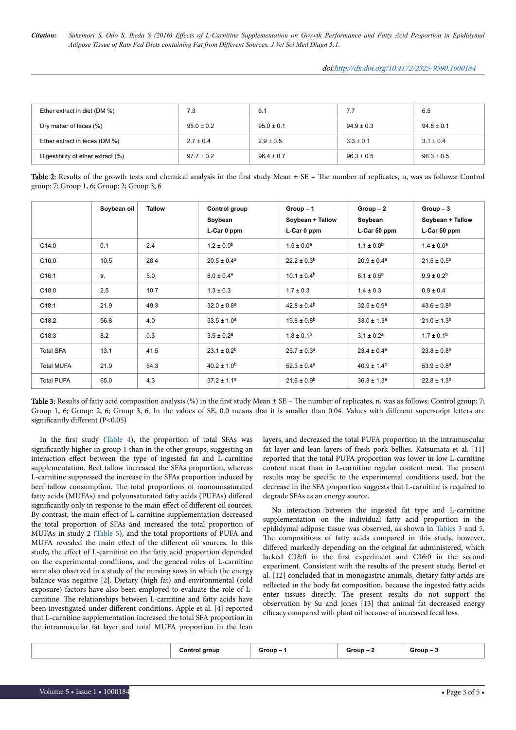<span id="page-2-0"></span>*Citation: Sukemori S, Odo S, Ikeda S (2016) Effects of L-Carnitine Supplementation on Growth Performance and Fatty Acid Proportion in Epididymal Adipose Tissue of Rats Fed Diets containing Fat from Different Sources. J Vet Sci Med Diagn 5:1.*

doi[:http://dx.doi.org/10.4172/2325-9590.1000184](http://dx.doi.org/10.4172/2325-9590.1000184)

| Ether extract in diet (DM %)       | 7.3            | 6.1            | 7.7            | 6.5            |
|------------------------------------|----------------|----------------|----------------|----------------|
| Dry matter of feces (%)            | $95.0 \pm 0.2$ | $95.0 \pm 0.1$ | $94.9 \pm 0.3$ | $94.8 \pm 0.1$ |
| Ether extract in feces (DM %)      | $2.7 \pm 0.4$  | $2.9 \pm 0.5$  | $3.3 \pm 0.1$  | $3.1 \pm 0.4$  |
| Digestibility of ether extract (%) | $97.7 \pm 0.2$ | $96.4 \pm 0.7$ | $96.3 \pm 0.5$ | $96.3 \pm 0.5$ |

| Table 2: Results of the growth tests and chemical analysis in the first study Mean ± SE - The number of replicates, n, was as follows: Control |  |  |
|------------------------------------------------------------------------------------------------------------------------------------------------|--|--|
| group: 7; Group 1, 6; Group: 2; Group 3, 6                                                                                                     |  |  |

|                   | Soybean oil | <b>Tallow</b> | Control group<br>Soybean<br>L-Car 0 ppm | $Group-1$<br>Soybean + Tallow<br>L-Car 0 ppm | $Group-2$<br>Soybean<br>L-Car 50 ppm | $Group-3$<br>Soybean + Tallow<br>L-Car 50 ppm |
|-------------------|-------------|---------------|-----------------------------------------|----------------------------------------------|--------------------------------------|-----------------------------------------------|
| C14:0             | 0.1         | 2.4           | $1.2 \pm 0.0$ <sup>b</sup>              | $1.5 \pm 0.0^a$                              | $1.1 \pm 0.0$ <sup>b</sup>           | $1.4 \pm 0.0^a$                               |
| C16:0             | 10.5        | 28.4          | $20.5 \pm 0.4^a$                        | $22.2 \pm 0.3^b$                             | $20.9 \pm 0.4^a$                     | $21.5 \pm 0.5^{\rm b}$                        |
| C16:1             | tr.         | 5.0           | $8.0 \pm 0.4^a$                         | $10.1 \pm 0.4^b$                             | $8.1 \pm 0.5^a$                      | $9.9 \pm 0.2^b$                               |
| C18:0             | 2.5         | 10.7          | $1.3 \pm 0.3$                           | $1.7 \pm 0.3$                                | $1.4 \pm 0.3$                        | $0.9 \pm 0.4$                                 |
| C18:1             | 21.9        | 49.3          | $32.0 \pm 0.8^a$                        | $42.8 \pm 0.4^b$                             | $32.5 \pm 0.9^a$                     | $43.6 \pm 0.8^{b}$                            |
| C18:2             | 56.8        | 4.0           | $33.5 \pm 1.0^a$                        | $19.8 \pm 0.8$ <sup>b</sup>                  | $33.0 \pm 1.3^a$                     | $21.0 \pm 1.3^{b}$                            |
| C18:3             | 8.2         | 0.3           | $3.5 \pm 0.2^a$                         | $1.8 \pm 0.1$ <sup>b</sup>                   | $3.1 \pm 0.2^a$                      | $1.7 \pm 0.1^{\rm b}$                         |
| <b>Total SFA</b>  | 13.1        | 41.5          | $23.1 \pm 0.2^b$                        | $25.7 \pm 0.3^a$                             | $23.4 \pm 0.4^a$                     | $23.8 \pm 0.8$ <sup>b</sup>                   |
| <b>Total MUFA</b> | 21.9        | 54.3          | $40.2 \pm 1.0^b$                        | $52.3 \pm 0.4^a$                             | $40.9 \pm 1.4^b$                     | $53.9 \pm 0.8^a$                              |
| <b>Total PUFA</b> | 65.0        | 4.3           | $37.2 \pm 1.1^a$                        | $21.6 \pm 0.9^b$                             | $36.3 \pm 1.3^a$                     | $22.8 \pm 1.3^{b}$                            |

Table 3: Results of fatty acid composition analysis (%) in the first study Mean  $\pm$  SE – The number of replicates, n, was as follows: Control group: 7; Group 1, 6; Group: 2, 6; Group 3, 6. In the values of SE, 0.0 means that it is smaller than 0.04. Values with different superscript letters are significantly different (P<0.05)

In the first study [\(Table 4\)](#page-3-0), the proportion of total SFAs was significantly higher in group 1 than in the other groups, suggesting an interaction effect between the type of ingested fat and L-carnitine supplementation. Beef tallow increased the SFAs proportion, whereas L-carnitine suppressed the increase in the SFAs proportion induced by beef tallow consumption. Нe total proportions of monounsaturated fatty acids (MUFAs) and polyunsaturated fatty acids (PUFAs) differed significantly only in response to the main effect of different oil sources. By contrast, the main effect of L-carnitine supplementation decreased the total proportion of SFAs and increased the total proportion of MUFAs in study 2 [\(Table 5\)](#page-4-0), and the total proportions of PUFA and MUFA revealed the main effect of the different oil sources. In this study, the effect of L-carnitine on the fatty acid proportion depended on the experimental conditions, and the general roles of L-carnitine were also observed in a study of the nursing sows in which the energy balance was negative [2]. Dietary (high fat) and environmental (cold exposure) factors have also been employed to evaluate the role of Lcarnitine. Нe relationships between L-carnitine and fatty acids have been investigated under different conditions. Apple et al. [4] reported that L-carnitine supplementation increased the total SFA proportion in the intramuscular fat layer and total MUFA proportion in the lean

layers, and decreased the total PUFA proportion in the intramuscular fat layer and lean layers of fresh pork bellies. Katsumata et al. [11] reported that the total PUFA proportion was lower in low L-carnitine content meat than in L-carnitine regular content meat. Нe present results may be specific to the experimental conditions used, but the decrease in the SFA proportion suggests that L-carnitine is required to degrade SFAs as an energy source.

No interaction between the ingested fat type and L-carnitine supplementation on the individual fatty acid proportion in the epididymal adipose tissue was observed, as shown in Tables 3 and [5](#page-4-0). The compositions of fatty acids compared in this study, however, differed markedly depending on the original fat administered, which lacked C18:0 in the first experiment and C16:0 in the second experiment. Consistent with the results of the present study, Bertol et al. [12] concluded that in monogastric animals, dietary fatty acids are reflected in the body fat composition, because the ingested fatty acids enter tissues directly. Нe present results do not support the observation by Su and Jones [13] that animal fat decreased energy efficacy compared with plant oil because of increased fecal loss.

| `r∩un ·<br>$T$ roun –<br>$-00110$<br>aroun<br>ה הי<br>.<br>.<br>.<br>. |
|------------------------------------------------------------------------|
|------------------------------------------------------------------------|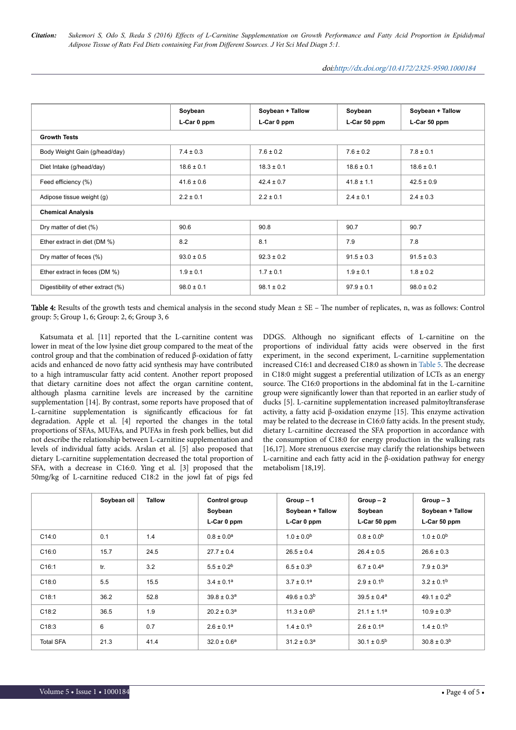<span id="page-3-0"></span>*Citation: Sukemori S, Odo S, Ikeda S (2016) Effects of L-Carnitine Supplementation on Growth Performance and Fatty Acid Proportion in Epididymal Adipose Tissue of Rats Fed Diets containing Fat from Different Sources. J Vet Sci Med Diagn 5:1.*

|                                    | Soybean<br>L-Car 0 ppm | Soybean + Tallow<br>L-Car 0 ppm | Soybean<br>L-Car 50 ppm | Soybean + Tallow<br>L-Car 50 ppm |  |
|------------------------------------|------------------------|---------------------------------|-------------------------|----------------------------------|--|
| <b>Growth Tests</b>                |                        |                                 |                         |                                  |  |
| Body Weight Gain (g/head/day)      | $7.4 \pm 0.3$          | $7.6 \pm 0.2$                   | $7.6 \pm 0.2$           | $7.8 \pm 0.1$                    |  |
| Diet Intake (g/head/day)           | $18.6 \pm 0.1$         | $18.3 \pm 0.1$                  | $18.6 \pm 0.1$          | $18.6 \pm 0.1$                   |  |
| Feed efficiency (%)                | $41.6 \pm 0.6$         | $42.4 \pm 0.7$                  | $41.8 \pm 1.1$          | $42.5 \pm 0.9$                   |  |
| Adipose tissue weight (g)          | $2.2 \pm 0.1$          | $2.2 \pm 0.1$                   | $2.4 \pm 0.1$           | $2.4 \pm 0.3$                    |  |
| <b>Chemical Analysis</b>           |                        |                                 |                         |                                  |  |
| Dry matter of diet (%)             | 90.6                   | 90.8                            | 90.7                    | 90.7                             |  |
| Ether extract in diet (DM %)       | 8.2                    | 8.1                             | 7.9                     | 7.8                              |  |
| Dry matter of feces (%)            | $93.0 \pm 0.5$         | $92.3 \pm 0.2$                  | $91.5 \pm 0.3$          | $91.5 \pm 0.3$                   |  |
| Ether extract in feces (DM %)      | $1.9 \pm 0.1$          | $1.7 \pm 0.1$                   | $1.9 \pm 0.1$           | $1.8 \pm 0.2$                    |  |
| Digestibility of ether extract (%) | $98.0 \pm 0.1$         | $98.1 \pm 0.2$                  | $97.9 \pm 0.1$          | $98.0 \pm 0.2$                   |  |

Table 4: Results of the growth tests and chemical analysis in the second study Mean  $\pm$  SE - The number of replicates, n, was as follows: Control group: 5; Group 1, 6; Group: 2, 6; Group 3, 6

Katsumata et al. [11] reported that the L-carnitine content was lower in meat of the low lysine diet group compared to the meat of the control group and that the combination of reduced β-oxidation of fatty acids and enhanced de novo fatty acid synthesis may have contributed to a high intramuscular fatty acid content. Another report proposed that dietary carnitine does not affect the organ carnitine content, although plasma carnitine levels are increased by the carnitine supplementation [14]. By contrast, some reports have proposed that of L-carnitine supplementation is significantly efficacious for fat degradation. Apple et al. [4] reported the changes in the total proportions of SFAs, MUFAs, and PUFAs in fresh pork bellies, but did not describe the relationship between L-carnitine supplementation and levels of individual fatty acids. Arslan et al. [5] also proposed that dietary L-carnitine supplementation decreased the total proportion of SFA, with a decrease in C16:0. Ying et al. [3] proposed that the 50mg/kg of L-carnitine reduced C18:2 in the jowl fat of pigs fed

DDGS. Although no significant effects of L-carnitine on the proportions of individual fatty acids were observed in the first experiment, in the second experiment, L-carnitine supplementation increased C16:1 and decreased C18:0 as shown in [Table 5](#page-4-0). Нe decrease in C18:0 might suggest a preferential utilization of LCTs as an energy source. Нe C16:0 proportions in the abdominal fat in the L-carnitine group were significantly lower than that reported in an earlier study of ducks [5]. L-carnitine supplementation increased palmitoyltransferase activity, a fatty acid β-oxidation enzyme [15]. Нis enzyme activation may be related to the decrease in C16:0 fatty acids. In the present study, dietary L-carnitine decreased the SFA proportion in accordance with the consumption of C18:0 for energy production in the walking rats [16,17]. More strenuous exercise may clarify the relationships between L-carnitine and each fatty acid in the β-oxidation pathway for energy metabolism [18,19].

|                  | Soybean oil | <b>Tallow</b> | Control group<br>Soybean<br>L-Car 0 ppm | $Group-1$<br>Soybean + Tallow<br>L-Car 0 ppm | $Group-2$<br>Soybean<br>L-Car 50 ppm | $Group-3$<br>Soybean + Tallow<br>L-Car 50 ppm |
|------------------|-------------|---------------|-----------------------------------------|----------------------------------------------|--------------------------------------|-----------------------------------------------|
| C14:0            | 0.1         | 1.4           | $0.8 \pm 0.0^a$                         | $1.0 \pm 0.0$ <sup>b</sup>                   | $0.8 \pm 0.0$ <sup>b</sup>           | $1.0 \pm 0.0$ <sup>b</sup>                    |
| C16:0            | 15.7        | 24.5          | $27.7 \pm 0.4$                          | $26.5 \pm 0.4$                               | $26.4 \pm 0.5$                       | $26.6 \pm 0.3$                                |
| C16:1            | tr.         | 3.2           | $5.5 \pm 0.2^b$                         | $6.5 \pm 0.3^b$                              | $6.7 \pm 0.4^a$                      | $7.9 \pm 0.3^a$                               |
| C18:0            | 5.5         | 15.5          | $3.4 \pm 0.1^a$                         | $3.7 \pm 0.1^a$                              | $2.9 \pm 0.1^{\rm b}$                | $3.2 \pm 0.1^b$                               |
| C18:1            | 36.2        | 52.8          | $39.8 \pm 0.3^a$                        | $49.6 \pm 0.3^{b}$                           | $39.5 \pm 0.4^a$                     | $49.1 \pm 0.2^b$                              |
| C18:2            | 36.5        | 1.9           | $20.2 \pm 0.3^a$                        | $11.3 \pm 0.6^b$                             | $21.1 \pm 1.1^a$                     | $10.9 \pm 0.3^b$                              |
| C18:3            | 6           | 0.7           | $2.6 \pm 0.1^a$                         | $1.4 \pm 0.1^b$                              | $2.6 \pm 0.1^a$                      | $1.4 \pm 0.1^b$                               |
| <b>Total SFA</b> | 21.3        | 41.4          | $32.0 \pm 0.6^a$                        | $31.2 \pm 0.3^a$                             | $30.1 \pm 0.5^{\circ}$               | $30.8 \pm 0.3^b$                              |